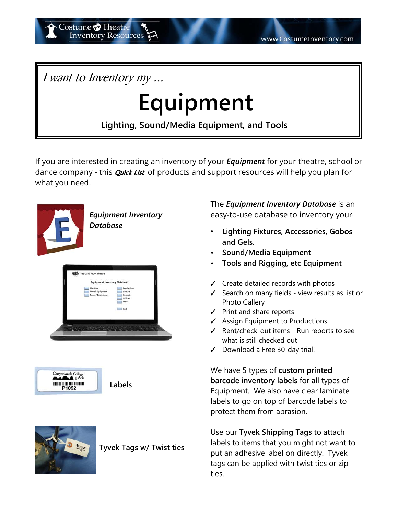I want to Inventory my ...

**Inventory Resources** 

Costume **O**Theatre

## **Equipment**

**Lighting, Sound/Media Equipment, and Tools**

If you are interested in creating an inventory of your *Equipment* for your theatre, school or dance company - this *Quick List* of products and support resources will help you plan for what you need.







**Tyvek Tags w/ Twist ties**

The *Equipment Inventory Database* is an easy-to-use database to inventory your:

- **Lighting Fixtures, Accessories, Gobos and Gels.**
- **Sound/Media Equipment**
- **Tools and Rigging, etc Equipment**
- $\checkmark$  Create detailed records with photos
- $\checkmark$  Search on many fields view results as list or Photo Gallery
- $\checkmark$  Print and share reports
- $\checkmark$  Assign Equipment to Productions
- $\checkmark$  Rent/check-out items Run reports to see what is still checked out
- $\checkmark$  Download a Free 30-day trial!

We have 5 types of **custom printed barcode inventory labels** for all types of Equipment. We also have clear laminate labels to go on top of barcode labels to protect them from abrasion.

Use our **Tyvek Shipping Tags** to attach labels to items that you might not want to put an adhesive label on directly. Tyvek tags can be applied with twist ties or zip ties.